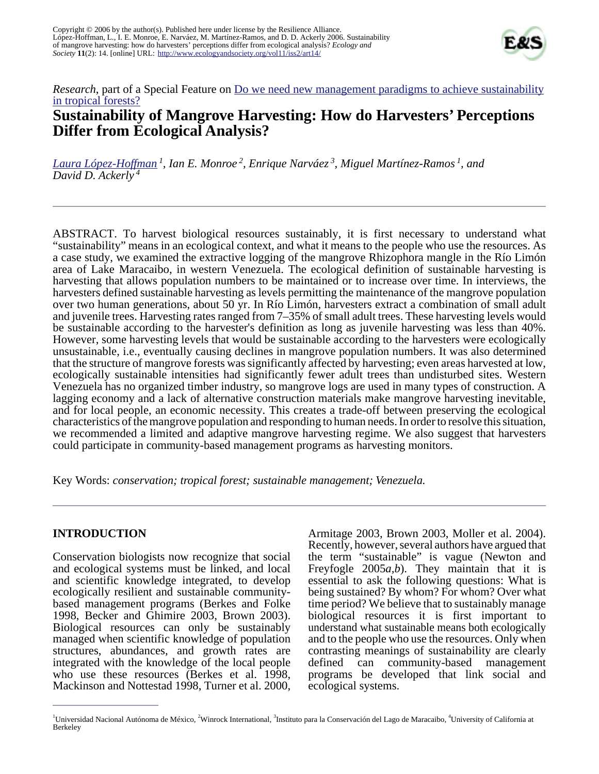

## *Research*, part of a Special Feature on <u>Do we need new management paradigms to achieve sustainability</u> [in tropical forests?](http://www.ecologyandsociety.org/viewissue.php?sf=27) **Sustainability of Mangrove Harvesting: How do Harvesters' Perceptions Differ from Ecological Analysis?**

*[Laura López-Hoffman](mailto:avicennia_germinans@yahoo.com)<sup>1</sup> , Ian E. Monroe<sup>2</sup> , Enrique Narváez<sup>3</sup> , Miguel Martínez-Ramos<sup>1</sup>, and David D. Ackerly<sup>4</sup>*

ABSTRACT. To harvest biological resources sustainably, it is first necessary to understand what "sustainability" means in an ecological context, and what it means to the people who use the resources. As a case study, we examined the extractive logging of the mangrove Rhizophora mangle in the Río Limón area of Lake Maracaibo, in western Venezuela. The ecological definition of sustainable harvesting is harvesting that allows population numbers to be maintained or to increase over time. In interviews, the harvesters defined sustainable harvesting as levels permitting the maintenance of the mangrove population over two human generations, about 50 yr. In Río Limón, harvesters extract a combination of small adult and juvenile trees. Harvesting rates ranged from 7–35% of small adult trees. These harvesting levels would be sustainable according to the harvester's definition as long as juvenile harvesting was less than 40%. However, some harvesting levels that would be sustainable according to the harvesters were ecologically unsustainable, i.e., eventually causing declines in mangrove population numbers. It was also determined that the structure of mangrove forests was significantly affected by harvesting; even areas harvested at low, ecologically sustainable intensities had significantly fewer adult trees than undisturbed sites. Western Venezuela has no organized timber industry, so mangrove logs are used in many types of construction. A lagging economy and a lack of alternative construction materials make mangrove harvesting inevitable, and for local people, an economic necessity. This creates a trade-off between preserving the ecological characteristics of the mangrove population and responding to human needs. In order to resolve this situation, we recommended a limited and adaptive mangrove harvesting regime. We also suggest that harvesters could participate in community-based management programs as harvesting monitors.

Key Words: *conservation; tropical forest; sustainable management; Venezuela.*

### **INTRODUCTION**

Conservation biologists now recognize that social and ecological systems must be linked, and local and scientific knowledge integrated, to develop ecologically resilient and sustainable communitybased management programs (Berkes and Folke 1998, Becker and Ghimire 2003, Brown 2003). Biological resources can only be sustainably managed when scientific knowledge of population structures, abundances, and growth rates are integrated with the knowledge of the local people who use these resources (Berkes et al. 1998, Mackinson and Nottestad 1998, Turner et al. 2000,

Armitage 2003, Brown 2003, Moller et al. 2004). Recently, however, several authors have argued that the term "sustainable" is vague (Newton and Freyfogle 2005*a,b*). They maintain that it is essential to ask the following questions: What is being sustained? By whom? For whom? Over what time period? We believe that to sustainably manage biological resources it is first important to understand what sustainable means both ecologically and to the people who use the resources. Only when contrasting meanings of sustainability are clearly defined can community-based management programs be developed that link social and ecological systems.

<sup>&</sup>lt;sup>1</sup>Universidad Nacional Autónoma de México, <sup>2</sup>Winrock International, <sup>3</sup>Instituto para la Conservación del Lago de Maracaibo, <sup>4</sup>University of California at Berkeley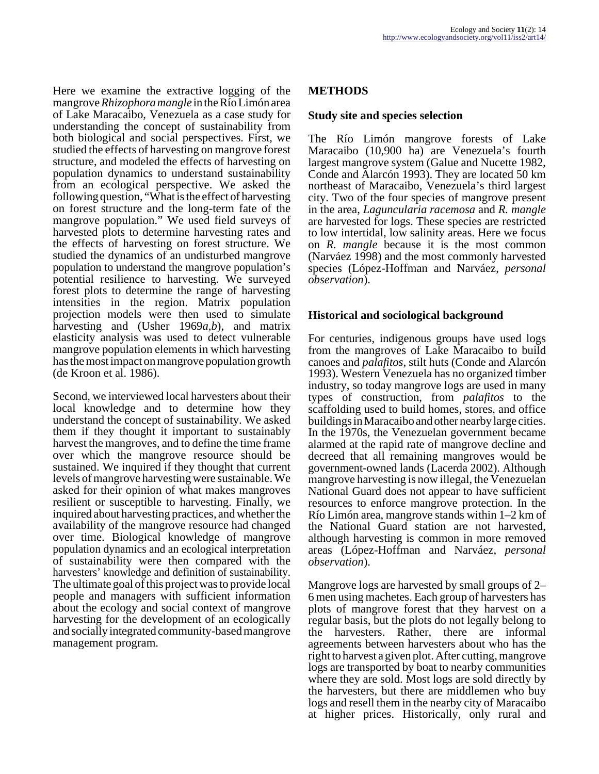Here we examine the extractive logging of the mangrove *Rhizophora mangle* in the Río Limón area of Lake Maracaibo, Venezuela as a case study for understanding the concept of sustainability from both biological and social perspectives. First, we studied the effects of harvesting on mangrove forest structure, and modeled the effects of harvesting on population dynamics to understand sustainability from an ecological perspective. We asked the following question, "What is the effect of harvesting on forest structure and the long-term fate of the mangrove population." We used field surveys of harvested plots to determine harvesting rates and the effects of harvesting on forest structure. We studied the dynamics of an undisturbed mangrove population to understand the mangrove population's potential resilience to harvesting. We surveyed forest plots to determine the range of harvesting intensities in the region. Matrix population projection models were then used to simulate harvesting and (Usher 1969*a,b*), and matrix elasticity analysis was used to detect vulnerable mangrove population elements in which harvesting has the most impact on mangrove population growth (de Kroon et al. 1986).

Second, we interviewed local harvesters about their local knowledge and to determine how they understand the concept of sustainability. We asked them if they thought it important to sustainably harvest the mangroves, and to define the time frame over which the mangrove resource should be sustained. We inquired if they thought that current levels of mangrove harvesting were sustainable. We asked for their opinion of what makes mangroves resilient or susceptible to harvesting. Finally, we inquired about harvesting practices, and whether the availability of the mangrove resource had changed over time. Biological knowledge of mangrove population dynamics and an ecological interpretation of sustainability were then compared with the harvesters' knowledge and definition of sustainability. The ultimate goal of this project was to provide local people and managers with sufficient information about the ecology and social context of mangrove harvesting for the development of an ecologically and socially integrated community-based mangrove management program.

## **METHODS**

### **Study site and species selection**

The Río Limón mangrove forests of Lake Maracaibo (10,900 ha) are Venezuela's fourth largest mangrove system (Galue and Nucette 1982, Conde and Alarcón 1993). They are located 50 km northeast of Maracaibo, Venezuela's third largest city. Two of the four species of mangrove present in the area, *Laguncularia racemosa* and *R. mangle* are harvested for logs. These species are restricted to low intertidal, low salinity areas. Here we focus on *R. mangle* because it is the most common (Narváez 1998) and the most commonly harvested species (López-Hoffman and Narváez, *personal observation*).

### **Historical and sociological background**

For centuries, indigenous groups have used logs from the mangroves of Lake Maracaibo to build canoes and *palafitos,* stilt huts (Conde and Alarcón 1993). Western Venezuela has no organized timber industry, so today mangrove logs are used in many types of construction, from *palafitos* to the scaffolding used to build homes, stores, and office buildings in Maracaibo and other nearby large cities. In the 1970s, the Venezuelan government became alarmed at the rapid rate of mangrove decline and decreed that all remaining mangroves would be government-owned lands (Lacerda 2002). Although mangrove harvesting is now illegal, the Venezuelan National Guard does not appear to have sufficient resources to enforce mangrove protection. In the Río Limón area, mangrove stands within 1–2 km of the National Guard station are not harvested, although harvesting is common in more removed areas (López-Hoffman and Narváez, *personal observation*).

Mangrove logs are harvested by small groups of 2– 6 men using machetes. Each group of harvesters has plots of mangrove forest that they harvest on a regular basis, but the plots do not legally belong to the harvesters. Rather, there are informal agreements between harvesters about who has the right to harvest a given plot. After cutting, mangrove logs are transported by boat to nearby communities where they are sold. Most logs are sold directly by the harvesters, but there are middlemen who buy logs and resell them in the nearby city of Maracaibo at higher prices. Historically, only rural and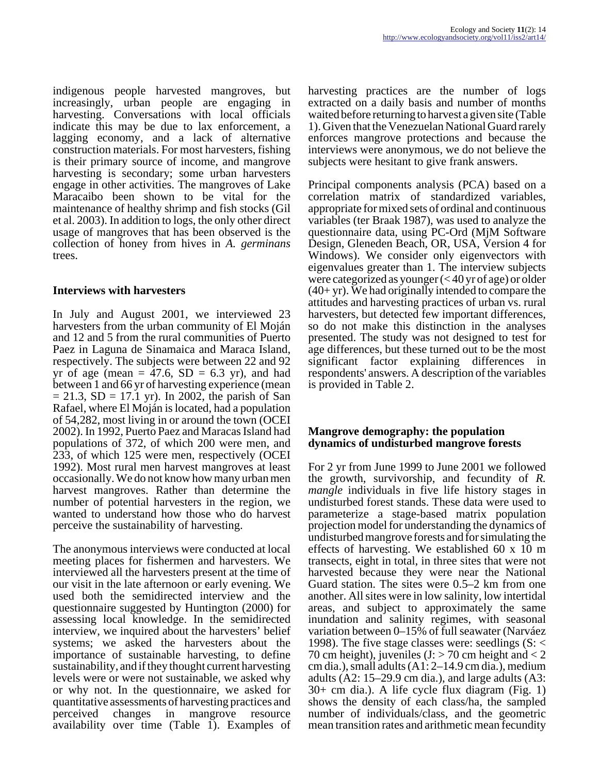indigenous people harvested mangroves, but increasingly, urban people are engaging in harvesting. Conversations with local officials indicate this may be due to lax enforcement, a lagging economy, and a lack of alternative construction materials. For most harvesters, fishing is their primary source of income, and mangrove harvesting is secondary; some urban harvesters engage in other activities. The mangroves of Lake Maracaibo been shown to be vital for the maintenance of healthy shrimp and fish stocks (Gil et al. 2003). In addition to logs, the only other direct usage of mangroves that has been observed is the collection of honey from hives in *A. germinans* trees.

### **Interviews with harvesters**

In July and August 2001, we interviewed 23 harvesters from the urban community of El Moján and 12 and 5 from the rural communities of Puerto Paez in Laguna de Sinamaica and Maraca Island, respectively. The subjects were between 22 and 92 yr of age (mean  $= 47.6$ , SD  $= 6.3$  yr), and had between 1 and 66 yr of harvesting experience (mean  $= 21.3$ , SD  $= 17.1$  yr). In 2002, the parish of San Rafael, where El Moján is located, had a population of 54,282, most living in or around the town (OCEI 2002). In 1992, Puerto Paez and Maracas Island had populations of 372, of which 200 were men, and 233, of which 125 were men, respectively (OCEI 1992). Most rural men harvest mangroves at least occasionally. We do not know how many urban men harvest mangroves. Rather than determine the number of potential harvesters in the region, we wanted to understand how those who do harvest perceive the sustainability of harvesting.

The anonymous interviews were conducted at local meeting places for fishermen and harvesters. We interviewed all the harvesters present at the time of our visit in the late afternoon or early evening. We used both the semidirected interview and the questionnaire suggested by Huntington (2000) for assessing local knowledge. In the semidirected interview, we inquired about the harvesters' belief systems; we asked the harvesters about the importance of sustainable harvesting, to define sustainability, and if they thought current harvesting levels were or were not sustainable, we asked why or why not. In the questionnaire, we asked for quantitative assessments of harvesting practices and perceived changes in mangrove resource availability over time (Table 1). Examples of harvesting practices are the number of logs extracted on a daily basis and number of months waited before returning to harvest a given site (Table 1). Given that the Venezuelan National Guard rarely enforces mangrove protections and because the interviews were anonymous, we do not believe the subjects were hesitant to give frank answers.

Principal components analysis (PCA) based on a correlation matrix of standardized variables, appropriate for mixed sets of ordinal and continuous variables (ter Braak 1987), was used to analyze the questionnaire data, using PC-Ord (MjM Software Design, Gleneden Beach, OR, USA, Version 4 for Windows). We consider only eigenvectors with eigenvalues greater than 1. The interview subjects were categorized as younger (< 40 yr of age) or older  $(40+yr)$ . We had originally intended to compare the attitudes and harvesting practices of urban vs. rural harvesters, but detected few important differences, so do not make this distinction in the analyses presented. The study was not designed to test for age differences, but these turned out to be the most significant factor explaining differences in respondents' answers. A description of the variables is provided in Table 2.

### **Mangrove demography: the population dynamics of undisturbed mangrove forests**

For 2 yr from June 1999 to June 2001 we followed the growth, survivorship, and fecundity of *R. mangle* individuals in five life history stages in undisturbed forest stands. These data were used to parameterize a stage-based matrix population projection model for understanding the dynamics of undisturbed mangrove forests and for simulating the effects of harvesting. We established 60 x 10 m transects, eight in total, in three sites that were not harvested because they were near the National Guard station. The sites were 0.5–2 km from one another. All sites were in low salinity, low intertidal areas, and subject to approximately the same inundation and salinity regimes, with seasonal variation between 0–15% of full seawater (Narváez 1998). The five stage classes were: seedlings (S: < 70 cm height), juveniles  $(I > 70$  cm height and  $< 2$ cm dia.), small adults (A1: 2–14.9 cm dia.), medium adults (A2: 15–29.9 cm dia.), and large adults (A3: 30+ cm dia.). A life cycle flux diagram (Fig. 1) shows the density of each class/ha, the sampled number of individuals/class, and the geometric mean transition rates and arithmetic mean fecundity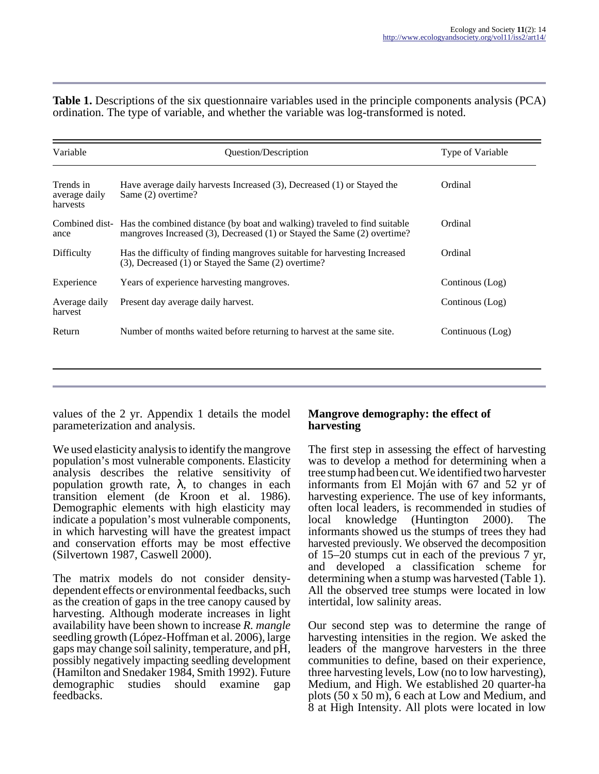**Table 1.** Descriptions of the six questionnaire variables used in the principle components analysis (PCA) ordination. The type of variable, and whether the variable was log-transformed is noted.

| Variable                               | Question/Description                                                                                                                                                | Type of Variable |  |
|----------------------------------------|---------------------------------------------------------------------------------------------------------------------------------------------------------------------|------------------|--|
| Trends in<br>average daily<br>harvests | Have average daily harvests Increased $(3)$ , Decreased $(1)$ or Stayed the<br>Same (2) overtime?                                                                   | Ordinal          |  |
| ance                                   | Combined dist- Has the combined distance (by boat and walking) traveled to find suitable<br>mangroves Increased (3), Decreased (1) or Stayed the Same (2) overtime? | Ordinal          |  |
| Difficulty                             | Has the difficulty of finding mangroves suitable for harvesting Increased<br>(3), Decreased (1) or Stayed the Same (2) overtime?                                    | Ordinal          |  |
| Experience                             | Years of experience harvesting mangroves.                                                                                                                           | Continous (Log)  |  |
| Average daily<br>harvest               | Present day average daily harvest.                                                                                                                                  | Continous (Log)  |  |
| Return                                 | Number of months waited before returning to harvest at the same site.                                                                                               | Continuous (Log) |  |
|                                        |                                                                                                                                                                     |                  |  |

values of the 2 yr. Appendix 1 details the model parameterization and analysis.

We used elasticity analysis to identify the mangrove population's most vulnerable components. Elasticity analysis describes the relative sensitivity of population growth rate,  $\lambda$ , to changes in each transition element (de Kroon et al. 1986). Demographic elements with high elasticity may indicate a population's most vulnerable components, in which harvesting will have the greatest impact and conservation efforts may be most effective (Silvertown 1987, Caswell 2000).

The matrix models do not consider densitydependent effects or environmental feedbacks, such as the creation of gaps in the tree canopy caused by harvesting. Although moderate increases in light availability have been shown to increase *R. mangle* seedling growth (López-Hoffman et al. 2006), large gaps may change soil salinity, temperature, and pH, possibly negatively impacting seedling development (Hamilton and Snedaker 1984, Smith 1992). Future demographic studies should examine gap feedbacks.

### **Mangrove demography: the effect of harvesting**

The first step in assessing the effect of harvesting was to develop a method for determining when a tree stump had been cut. We identified two harvester informants from El Moján with 67 and 52 yr of harvesting experience. The use of key informants, often local leaders, is recommended in studies of local knowledge (Huntington 2000). The informants showed us the stumps of trees they had harvested previously. We observed the decomposition of 15–20 stumps cut in each of the previous 7 yr, and developed a classification scheme for determining when a stump was harvested (Table 1). All the observed tree stumps were located in low intertidal, low salinity areas.

Our second step was to determine the range of harvesting intensities in the region. We asked the leaders of the mangrove harvesters in the three communities to define, based on their experience, three harvesting levels, Low (no to low harvesting), Medium, and High. We established 20 quarter-ha plots (50 x 50 m), 6 each at Low and Medium, and 8 at High Intensity. All plots were located in low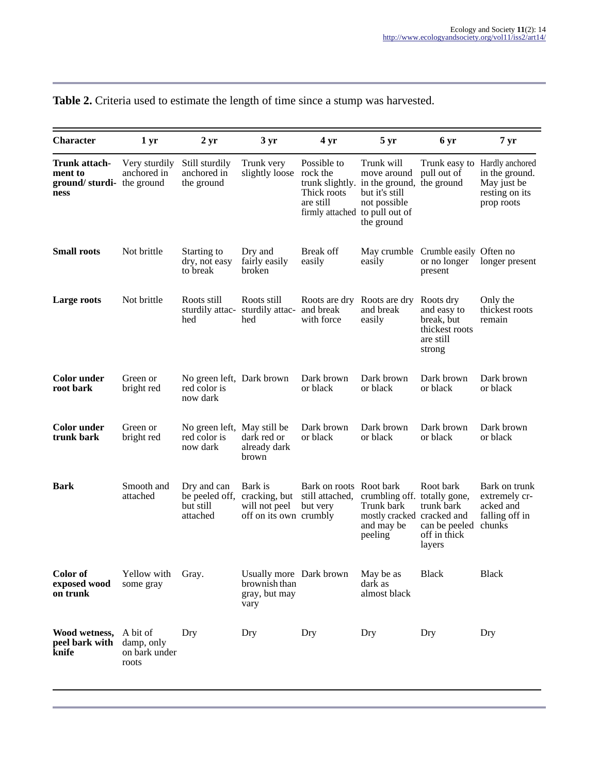| <b>Character</b>                                             | 1 <sub>yr</sub>                                  | 2 <sub>yr</sub>                                         | $3 \,\mathrm{yr}$                                                   | 4 yr                                                                                  | $5 \,\mathrm{yr}$                                                                                                      | 6 yr                                                                            | 7 <sub>yr</sub>                                                                                |
|--------------------------------------------------------------|--------------------------------------------------|---------------------------------------------------------|---------------------------------------------------------------------|---------------------------------------------------------------------------------------|------------------------------------------------------------------------------------------------------------------------|---------------------------------------------------------------------------------|------------------------------------------------------------------------------------------------|
| Trunk attach-<br>ment to<br>ground/sturdi-the ground<br>ness | Very sturdily<br>anchored in                     | Still sturdily<br>anchored in<br>the ground             | Trunk very<br>slightly loose                                        | Possible to<br>rock the<br>Thick roots<br>are still<br>firmly attached to pull out of | Trunk will<br>move around<br>trunk slightly. in the ground, the ground<br>but it's still<br>not possible<br>the ground | pull out of                                                                     | Trunk easy to Hardly anchored<br>in the ground.<br>May just be<br>resting on its<br>prop roots |
| <b>Small roots</b>                                           | Not brittle                                      | Starting to<br>dry, not easy<br>to break                | Dry and<br>fairly easily<br>broken                                  | Break off<br>easily                                                                   | easily                                                                                                                 | May crumble Crumble easily Often no<br>or no longer<br>present                  | longer present                                                                                 |
| Large roots                                                  | Not brittle                                      | Roots still<br>sturdily attac-<br>hed                   | Roots still<br>sturdily attac-<br>hed                               | Roots are dry Roots are dry<br>and break<br>with force                                | and break<br>easily                                                                                                    | Roots dry<br>and easy to<br>break, but<br>thickest roots<br>are still<br>strong | Only the<br>thickest roots<br>remain                                                           |
| <b>Color</b> under<br>root bark                              | Green or<br>bright red                           | No green left, Dark brown<br>red color is<br>now dark   |                                                                     | Dark brown<br>or black                                                                | Dark brown<br>or black                                                                                                 | Dark brown<br>or black                                                          | Dark brown<br>or black                                                                         |
| <b>Color</b> under<br>trunk bark                             | Green or<br>bright red                           | No green left, May still be<br>red color is<br>now dark | dark red or<br>already dark<br>brown                                | Dark brown<br>or black                                                                | Dark brown<br>or black                                                                                                 | Dark brown<br>or black                                                          | Dark brown<br>or black                                                                         |
| <b>Bark</b>                                                  | Smooth and<br>attached                           | Dry and can<br>be peeled off,<br>but still<br>attached  | Bark is<br>cracking, but<br>will not peel<br>off on its own crumbly | Bark on roots Root bark<br>still attached,<br>but very                                | crumbling off. totally gone,<br>Trunk bark<br>mostly cracked cracked and<br>and may be<br>peeling                      | Root bark<br>trunk bark<br>can be peeled<br>off in thick<br>layers              | Bark on trunk<br>extremely cr-<br>acked and<br>falling off in<br>chunks                        |
| Color of<br>exposed wood<br>on trunk                         | Yellow with<br>some gray                         | Gray.                                                   | Usually more Dark brown<br>brownish than<br>gray, but may<br>vary   |                                                                                       | May be as<br>dark as<br>almost black                                                                                   | <b>Black</b>                                                                    | <b>Black</b>                                                                                   |
| Wood wetness,<br>peel bark with<br>knife                     | A bit of<br>damp, only<br>on bark under<br>roots | Dry                                                     | Dry                                                                 | Dry                                                                                   | Dry                                                                                                                    | Dry                                                                             | Dry                                                                                            |

# **Table 2.** Criteria used to estimate the length of time since a stump was harvested.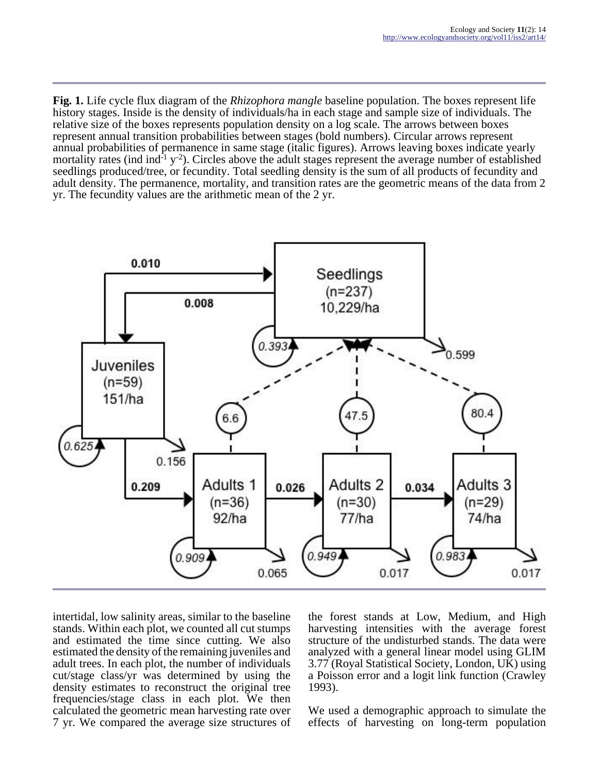**Fig. 1.** Life cycle flux diagram of the *Rhizophora mangle* baseline population. The boxes represent life history stages. Inside is the density of individuals/ha in each stage and sample size of individuals. The relative size of the boxes represents population density on a log scale. The arrows between boxes represent annual transition probabilities between stages (bold numbers). Circular arrows represent annual probabilities of permanence in same stage (italic figures). Arrows leaving boxes indicate yearly mortality rates (ind ind<sup>-1</sup> y<sup>-2</sup>). Circles above the adult stages represent the average number of established seedlings produced/tree, or fecundity. Total seedling density is the sum of all products of fecundity and adult density. The permanence, mortality, and transition rates are the geometric means of the data from 2 yr. The fecundity values are the arithmetic mean of the 2 yr.



intertidal, low salinity areas, similar to the baseline stands. Within each plot, we counted all cut stumps and estimated the time since cutting. We also estimated the density of the remaining juveniles and adult trees. In each plot, the number of individuals cut/stage class/yr was determined by using the density estimates to reconstruct the original tree frequencies/stage class in each plot. We then calculated the geometric mean harvesting rate over 7 yr. We compared the average size structures of the forest stands at Low, Medium, and High harvesting intensities with the average forest structure of the undisturbed stands. The data were analyzed with a general linear model using GLIM 3.77 (Royal Statistical Society, London, UK) using a Poisson error and a logit link function (Crawley 1993).

We used a demographic approach to simulate the effects of harvesting on long-term population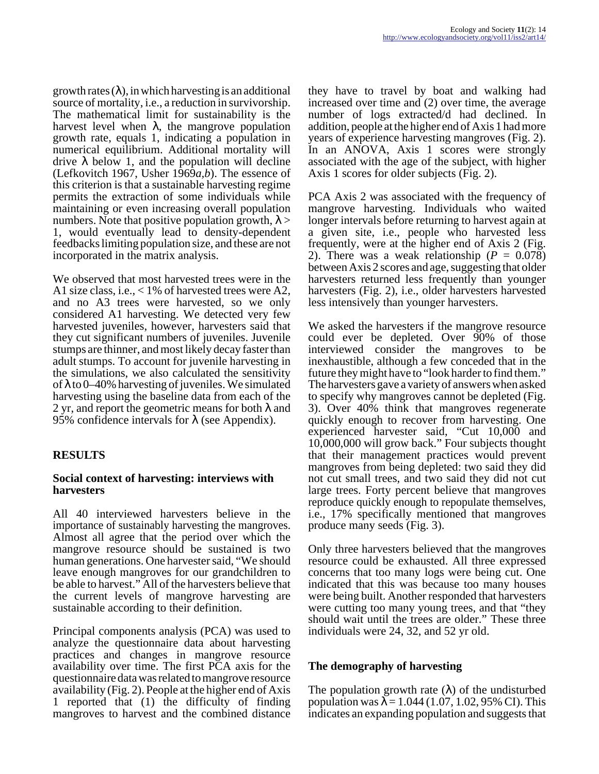growth rates  $(\lambda)$ , in which harvesting is an additional source of mortality, i.e., a reduction in survivorship. The mathematical limit for sustainability is the harvest level when  $\lambda$ , the mangrove population growth rate, equals 1, indicating a population in numerical equilibrium. Additional mortality will drive λ below 1, and the population will decline (Lefkovitch 1967, Usher 1969*a,b*). The essence of this criterion is that a sustainable harvesting regime permits the extraction of some individuals while maintaining or even increasing overall population numbers. Note that positive population growth,  $\lambda$  > 1, would eventually lead to density-dependent feedbacks limiting population size, and these are not incorporated in the matrix analysis.

We observed that most harvested trees were in the A1 size class, i.e., < 1% of harvested trees were A2, and no A3 trees were harvested, so we only considered A1 harvesting. We detected very few harvested juveniles, however, harvesters said that they cut significant numbers of juveniles. Juvenile stumps are thinner, and most likely decay faster than adult stumps. To account for juvenile harvesting in the simulations, we also calculated the sensitivity of  $\lambda$  to 0–40% harvesting of juveniles. We simulated harvesting using the baseline data from each of the 2 yr, and report the geometric means for both  $\lambda$  and 95% confidence intervals for  $\lambda$  (see Appendix).

# **RESULTS**

### **Social context of harvesting: interviews with harvesters**

All 40 interviewed harvesters believe in the importance of sustainably harvesting the mangroves. Almost all agree that the period over which the mangrove resource should be sustained is two human generations. One harvester said, "We should leave enough mangroves for our grandchildren to be able to harvest." All of the harvesters believe that the current levels of mangrove harvesting are sustainable according to their definition.

Principal components analysis (PCA) was used to analyze the questionnaire data about harvesting practices and changes in mangrove resource availability over time. The first PCA axis for the questionnaire data was related to mangrove resource availability (Fig. 2). People at the higher end of Axis 1 reported that (1) the difficulty of finding mangroves to harvest and the combined distance

they have to travel by boat and walking had increased over time and (2) over time, the average number of logs extracted/d had declined. In addition, people at the higher end of Axis 1 had more years of experience harvesting mangroves (Fig. 2). In an ANOVA, Axis 1 scores were strongly associated with the age of the subject, with higher Axis 1 scores for older subjects (Fig. 2).

PCA Axis 2 was associated with the frequency of mangrove harvesting. Individuals who waited longer intervals before returning to harvest again at a given site, i.e., people who harvested less frequently, were at the higher end of Axis 2 (Fig. 2). There was a weak relationship  $(P = 0.078)$ between Axis 2 scores and age, suggesting that older harvesters returned less frequently than younger harvesters (Fig. 2), i.e., older harvesters harvested less intensively than younger harvesters.

We asked the harvesters if the mangrove resource could ever be depleted. Over 90% of those interviewed consider the mangroves to be inexhaustible, although a few conceded that in the future they might have to "look harder to find them." The harvesters gave a variety of answers when asked to specify why mangroves cannot be depleted (Fig. 3). Over 40% think that mangroves regenerate quickly enough to recover from harvesting. One experienced harvester said, "Cut 10,000 and 10,000,000 will grow back." Four subjects thought that their management practices would prevent mangroves from being depleted: two said they did not cut small trees, and two said they did not cut large trees. Forty percent believe that mangroves reproduce quickly enough to repopulate themselves, i.e., 17% specifically mentioned that mangroves produce many seeds (Fig. 3).

Only three harvesters believed that the mangroves resource could be exhausted. All three expressed concerns that too many logs were being cut. One indicated that this was because too many houses were being built. Another responded that harvesters were cutting too many young trees, and that "they should wait until the trees are older." These three individuals were 24, 32, and 52 yr old.

# **The demography of harvesting**

The population growth rate  $(\lambda)$  of the undisturbed population was  $\lambda = 1.044$  (1.07, 1.02, 95% CI). This indicates an expanding population and suggests that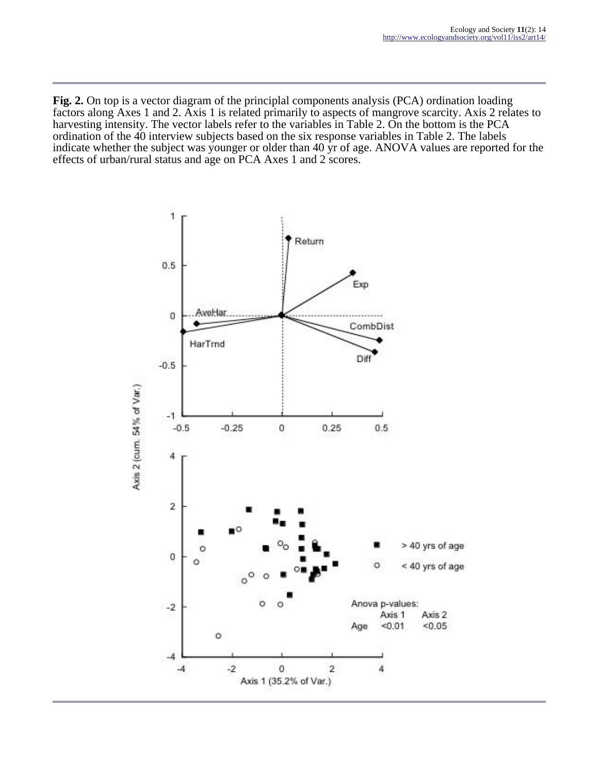**Fig. 2.** On top is a vector diagram of the principlal components analysis (PCA) ordination loading factors along Axes 1 and 2. Axis 1 is related primarily to aspects of mangrove scarcity. Axis 2 relates to harvesting intensity. The vector labels refer to the variables in Table 2. On the bottom is the PCA ordination of the 40 interview subjects based on the six response variables in Table 2. The labels indicate whether the subject was younger or older than 40 yr of age. ANOVA values are reported for the effects of urban/rural status and age on PCA Axes 1 and 2 scores.

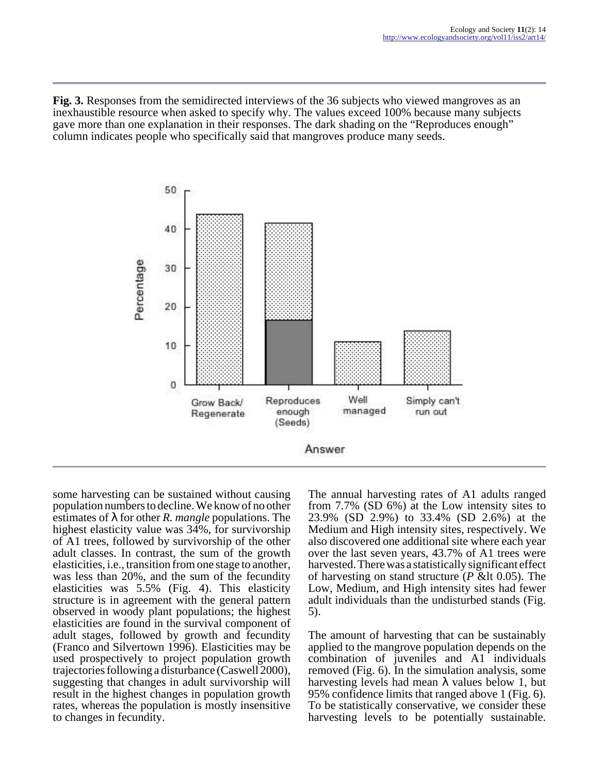**Fig. 3.** Responses from the semidirected interviews of the 36 subjects who viewed mangroves as an inexhaustible resource when asked to specify why. The values exceed 100% because many subjects gave more than one explanation in their responses. The dark shading on the "Reproduces enough" column indicates people who specifically said that mangroves produce many seeds.



some harvesting can be sustained without causing population numbers to decline. We know of no other estimates of λ for other *R. mangle* populations. The highest elasticity value was 34%, for survivorship of A1 trees, followed by survivorship of the other adult classes. In contrast, the sum of the growth elasticities, i.e., transition from one stage to another, was less than 20%, and the sum of the fecundity elasticities was 5.5% (Fig. 4). This elasticity structure is in agreement with the general pattern observed in woody plant populations; the highest elasticities are found in the survival component of adult stages, followed by growth and fecundity (Franco and Silvertown 1996). Elasticities may be used prospectively to project population growth trajectories following a disturbance (Caswell 2000), suggesting that changes in adult survivorship will result in the highest changes in population growth rates, whereas the population is mostly insensitive to changes in fecundity.

The annual harvesting rates of A1 adults ranged from 7.7% (SD 6%) at the Low intensity sites to 23.9% (SD 2.9%) to 33.4% (SD 2.6%) at the Medium and High intensity sites, respectively. We also discovered one additional site where each year over the last seven years, 43.7% of A1 trees were harvested. There was a statistically significant effect of harvesting on stand structure  $(P \< \text{lt } 0.05)$ . The Low, Medium, and High intensity sites had fewer adult individuals than the undisturbed stands (Fig. 5).

The amount of harvesting that can be sustainably applied to the mangrove population depends on the combination of juveniles and A1 individuals removed (Fig. 6). In the simulation analysis, some harvesting levels had mean  $\lambda$  values below 1, but 95% confidence limits that ranged above 1 (Fig. 6). To be statistically conservative, we consider these harvesting levels to be potentially sustainable.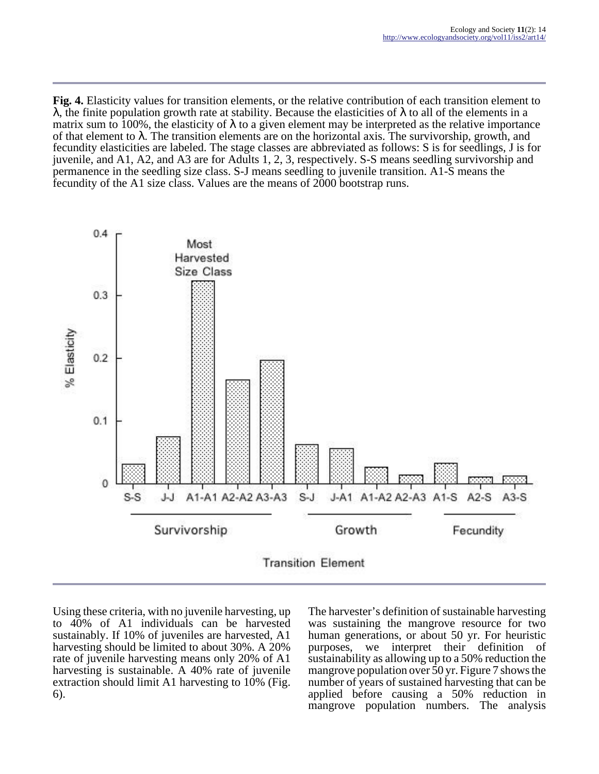**Fig. 4.** Elasticity values for transition elements, or the relative contribution of each transition element to λ, the finite population growth rate at stability. Because the elasticities of λ to all of the elements in a matrix sum to 100%, the elasticity of  $\lambda$  to a given element may be interpreted as the relative importance of that element to  $\lambda$ . The transition elements are on the horizontal axis. The survivorship, growth, and fecundity elasticities are labeled. The stage classes are abbreviated as follows: S is for seedlings, J is for juvenile, and A1, A2, and A3 are for Adults 1, 2, 3, respectively. S-S means seedling survivorship and permanence in the seedling size class. S-J means seedling to juvenile transition. A1-S means the fecundity of the A1 size class. Values are the means of 2000 bootstrap runs.



Using these criteria, with no juvenile harvesting, up to 40% of A1 individuals can be harvested sustainably. If 10% of juveniles are harvested, A1 harvesting should be limited to about 30%. A 20% rate of juvenile harvesting means only 20% of A1 harvesting is sustainable. A 40% rate of juvenile extraction should limit A1 harvesting to 10% (Fig. 6).

The harvester's definition of sustainable harvesting was sustaining the mangrove resource for two human generations, or about 50 yr. For heuristic purposes, we interpret their definition of sustainability as allowing up to a 50% reduction the mangrove population over 50 yr. Figure 7 shows the number of years of sustained harvesting that can be applied before causing a 50% reduction in mangrove population numbers. The analysis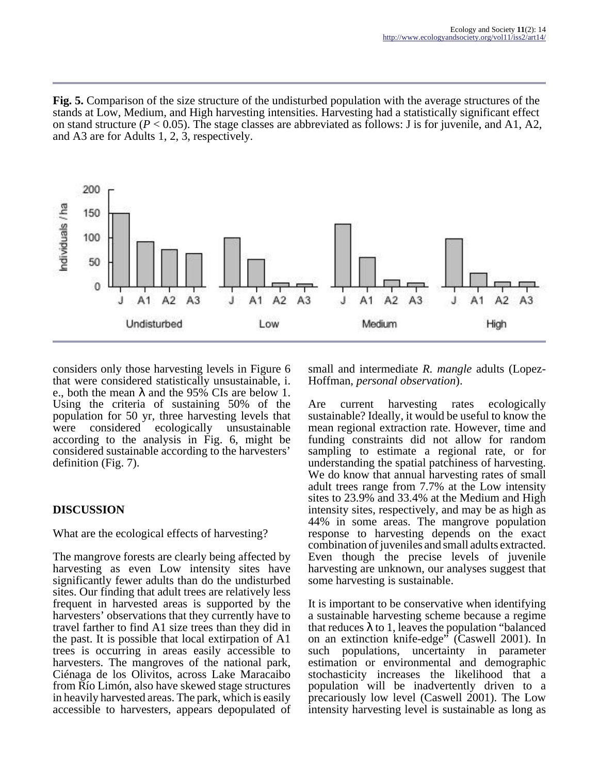**Fig. 5.** Comparison of the size structure of the undisturbed population with the average structures of the stands at Low, Medium, and High harvesting intensities. Harvesting had a statistically significant effect on stand structure  $(P < 0.05)$ . The stage classes are abbreviated as follows: J is for juvenile, and A1, A2, and A3 are for Adults 1, 2, 3, respectively.



considers only those harvesting levels in Figure 6 that were considered statistically unsustainable, i. e., both the mean  $\lambda$  and the 95% CIs are below 1. Using the criteria of sustaining 50% of the population for 50 yr, three harvesting levels that were considered ecologically unsustainable according to the analysis in Fig. 6, might be considered sustainable according to the harvesters' definition (Fig. 7).

# **DISCUSSION**

What are the ecological effects of harvesting?

The mangrove forests are clearly being affected by harvesting as even Low intensity sites have significantly fewer adults than do the undisturbed sites. Our finding that adult trees are relatively less frequent in harvested areas is supported by the harvesters' observations that they currently have to travel farther to find A1 size trees than they did in the past. It is possible that local extirpation of A1 trees is occurring in areas easily accessible to harvesters. The mangroves of the national park, Ciénaga de los Olivitos, across Lake Maracaibo from Río Limón, also have skewed stage structures in heavily harvested areas. The park, which is easily accessible to harvesters, appears depopulated of small and intermediate *R. mangle* adults (Lopez-Hoffman, *personal observation*).

Are current harvesting rates ecologically sustainable? Ideally, it would be useful to know the mean regional extraction rate. However, time and funding constraints did not allow for random sampling to estimate a regional rate, or for understanding the spatial patchiness of harvesting. We do know that annual harvesting rates of small adult trees range from 7.7% at the Low intensity sites to 23.9% and 33.4% at the Medium and High intensity sites, respectively, and may be as high as 44% in some areas. The mangrove population response to harvesting depends on the exact combination of juveniles and small adults extracted. Even though the precise levels of juvenile harvesting are unknown, our analyses suggest that some harvesting is sustainable.

It is important to be conservative when identifying a sustainable harvesting scheme because a regime that reduces  $\lambda$  to 1, leaves the population "balanced" on an extinction knife-edge" (Caswell 2001). In such populations, uncertainty in parameter estimation or environmental and demographic stochasticity increases the likelihood that a population will be inadvertently driven to a precariously low level (Caswell 2001). The Low intensity harvesting level is sustainable as long as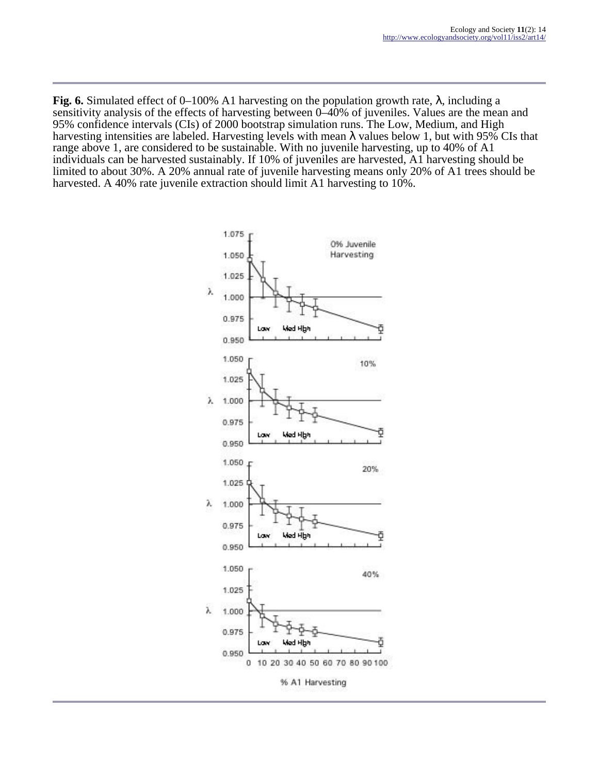**Fig. 6.** Simulated effect of 0–100% A1 harvesting on the population growth rate, λ, including a sensitivity analysis of the effects of harvesting between 0–40% of juveniles. Values are the mean and 95% confidence intervals (CIs) of 2000 bootstrap simulation runs. The Low, Medium, and High harvesting intensities are labeled. Harvesting levels with mean  $\lambda$  values below 1, but with 95% CIs that range above 1, are considered to be sustainable. With no juvenile harvesting, up to 40% of A1 individuals can be harvested sustainably. If 10% of juveniles are harvested, A1 harvesting should be limited to about 30%. A 20% annual rate of juvenile harvesting means only 20% of A1 trees should be harvested. A 40% rate juvenile extraction should limit A1 harvesting to 10%.

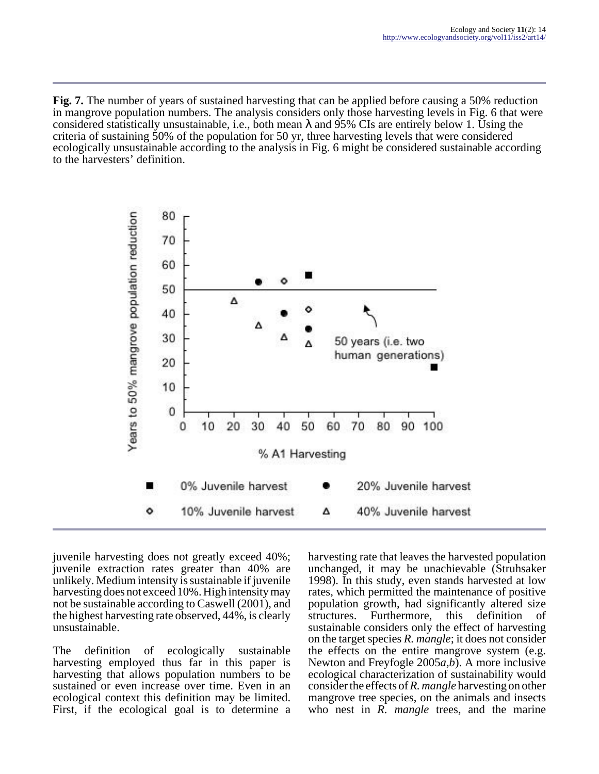**Fig. 7.** The number of years of sustained harvesting that can be applied before causing a 50% reduction in mangrove population numbers. The analysis considers only those harvesting levels in Fig. 6 that were considered statistically unsustainable, i.e., both mean  $\lambda$  and 95% CIs are entirely below 1. Using the criteria of sustaining 50% of the population for 50 yr, three harvesting levels that were considered ecologically unsustainable according to the analysis in Fig. 6 might be considered sustainable according to the harvesters' definition.



juvenile harvesting does not greatly exceed 40%; juvenile extraction rates greater than 40% are unlikely. Medium intensity is sustainable if juvenile harvesting does not exceed 10%. High intensity may not be sustainable according to Caswell (2001), and the highest harvesting rate observed, 44%, is clearly unsustainable.

The definition of ecologically sustainable harvesting employed thus far in this paper is harvesting that allows population numbers to be sustained or even increase over time. Even in an ecological context this definition may be limited. First, if the ecological goal is to determine a

harvesting rate that leaves the harvested population unchanged, it may be unachievable (Struhsaker 1998). In this study, even stands harvested at low rates, which permitted the maintenance of positive population growth, had significantly altered size structures. Furthermore, this definition of sustainable considers only the effect of harvesting on the target species *R. mangle*; it does not consider the effects on the entire mangrove system (e.g. Newton and Freyfogle 2005*a,b*). A more inclusive ecological characterization of sustainability would consider the effects of *R. mangle* harvesting on other mangrove tree species, on the animals and insects who nest in *R. mangle* trees, and the marine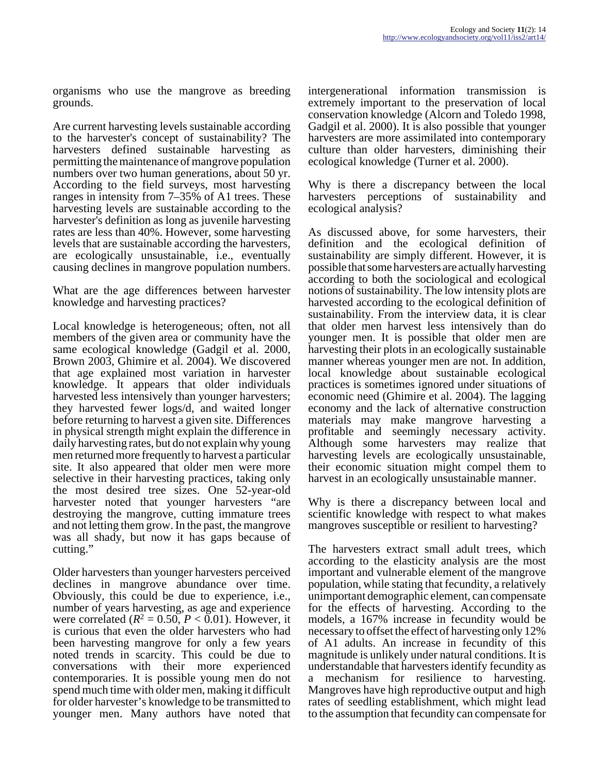organisms who use the mangrove as breeding grounds.

Are current harvesting levels sustainable according to the harvester's concept of sustainability? The harvesters defined sustainable harvesting as permitting the maintenance of mangrove population numbers over two human generations, about 50 yr. According to the field surveys, most harvesting ranges in intensity from 7–35% of A1 trees. These harvesting levels are sustainable according to the harvester's definition as long as juvenile harvesting rates are less than 40%. However, some harvesting levels that are sustainable according the harvesters, are ecologically unsustainable, i.e., eventually causing declines in mangrove population numbers.

What are the age differences between harvester knowledge and harvesting practices?

Local knowledge is heterogeneous; often, not all members of the given area or community have the same ecological knowledge (Gadgil et al. 2000, Brown 2003, Ghimire et al. 2004). We discovered that age explained most variation in harvester knowledge. It appears that older individuals harvested less intensively than younger harvesters; they harvested fewer logs/d, and waited longer before returning to harvest a given site. Differences in physical strength might explain the difference in daily harvesting rates, but do not explain why young men returned more frequently to harvest a particular site. It also appeared that older men were more selective in their harvesting practices, taking only the most desired tree sizes. One 52-year-old harvester noted that younger harvesters "are destroying the mangrove, cutting immature trees and not letting them grow. In the past, the mangrove was all shady, but now it has gaps because of cutting."

Older harvesters than younger harvesters perceived declines in mangrove abundance over time. Obviously, this could be due to experience, i.e., number of years harvesting, as age and experience were correlated  $(R^2 = 0.50, P < 0.01)$ . However, it is curious that even the older harvesters who had been harvesting mangrove for only a few years noted trends in scarcity. This could be due to conversations with their more experienced contemporaries. It is possible young men do not spend much time with older men, making it difficult for older harvester's knowledge to be transmitted to younger men. Many authors have noted that

intergenerational information transmission is extremely important to the preservation of local conservation knowledge (Alcorn and Toledo 1998, Gadgil et al. 2000). It is also possible that younger harvesters are more assimilated into contemporary culture than older harvesters, diminishing their ecological knowledge (Turner et al. 2000).

Why is there a discrepancy between the local harvesters perceptions of sustainability and ecological analysis?

As discussed above, for some harvesters, their definition and the ecological definition of sustainability are simply different. However, it is possible that some harvesters are actually harvesting according to both the sociological and ecological notions of sustainability. The low intensity plots are harvested according to the ecological definition of sustainability. From the interview data, it is clear that older men harvest less intensively than do younger men. It is possible that older men are harvesting their plots in an ecologically sustainable manner whereas younger men are not. In addition, local knowledge about sustainable ecological practices is sometimes ignored under situations of economic need (Ghimire et al. 2004). The lagging economy and the lack of alternative construction materials may make mangrove harvesting a profitable and seemingly necessary activity. Although some harvesters may realize that harvesting levels are ecologically unsustainable, their economic situation might compel them to harvest in an ecologically unsustainable manner.

Why is there a discrepancy between local and scientific knowledge with respect to what makes mangroves susceptible or resilient to harvesting?

The harvesters extract small adult trees, which according to the elasticity analysis are the most important and vulnerable element of the mangrove population, while stating that fecundity, a relatively unimportant demographic element, can compensate for the effects of harvesting. According to the models, a 167% increase in fecundity would be necessary to offset the effect of harvesting only 12% of A1 adults. An increase in fecundity of this magnitude is unlikely under natural conditions. It is understandable that harvesters identify fecundity as a mechanism for resilience to harvesting. Mangroves have high reproductive output and high rates of seedling establishment, which might lead to the assumption that fecundity can compensate for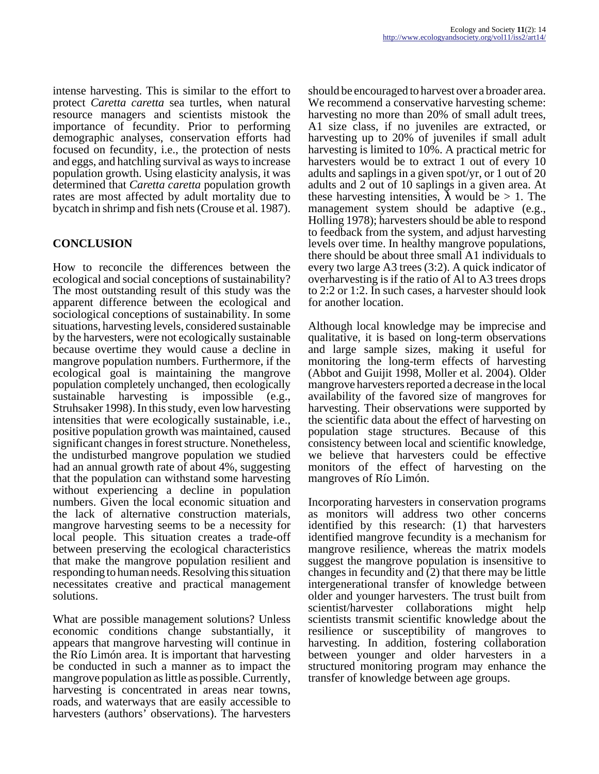intense harvesting. This is similar to the effort to protect *Caretta caretta* sea turtles, when natural resource managers and scientists mistook the importance of fecundity. Prior to performing demographic analyses, conservation efforts had focused on fecundity, i.e., the protection of nests and eggs, and hatchling survival as ways to increase population growth. Using elasticity analysis, it was determined that *Caretta caretta* population growth rates are most affected by adult mortality due to bycatch in shrimp and fish nets (Crouse et al. 1987).

# **CONCLUSION**

How to reconcile the differences between the ecological and social conceptions of sustainability? The most outstanding result of this study was the apparent difference between the ecological and sociological conceptions of sustainability. In some situations, harvesting levels, considered sustainable by the harvesters, were not ecologically sustainable because overtime they would cause a decline in mangrove population numbers. Furthermore, if the ecological goal is maintaining the mangrove population completely unchanged, then ecologically sustainable harvesting is impossible (e.g., Struhsaker 1998). In this study, even low harvesting intensities that were ecologically sustainable, i.e., positive population growth was maintained, caused significant changes in forest structure. Nonetheless, the undisturbed mangrove population we studied had an annual growth rate of about 4%, suggesting that the population can withstand some harvesting without experiencing a decline in population numbers. Given the local economic situation and the lack of alternative construction materials, mangrove harvesting seems to be a necessity for local people. This situation creates a trade-off between preserving the ecological characteristics that make the mangrove population resilient and responding to human needs. Resolving this situation necessitates creative and practical management solutions.

What are possible management solutions? Unless economic conditions change substantially, it appears that mangrove harvesting will continue in the Río Limón area. It is important that harvesting be conducted in such a manner as to impact the mangrove population as little as possible. Currently, harvesting is concentrated in areas near towns, roads, and waterways that are easily accessible to harvesters (authors' observations). The harvesters

should be encouraged to harvest over a broader area. We recommend a conservative harvesting scheme: harvesting no more than 20% of small adult trees, A1 size class, if no juveniles are extracted, or harvesting up to 20% of juveniles if small adult harvesting is limited to 10%. A practical metric for harvesters would be to extract 1 out of every 10 adults and saplings in a given spot/yr, or 1 out of 20 adults and 2 out of 10 saplings in a given area. At these harvesting intensities,  $\lambda$  would be  $> 1$ . The management system should be adaptive (e.g., Holling 1978); harvesters should be able to respond to feedback from the system, and adjust harvesting levels over time. In healthy mangrove populations, there should be about three small A1 individuals to every two large A3 trees (3:2). A quick indicator of overharvesting is if the ratio of Al to A3 trees drops to 2:2 or 1:2. In such cases, a harvester should look for another location.

Although local knowledge may be imprecise and qualitative, it is based on long-term observations and large sample sizes, making it useful for monitoring the long-term effects of harvesting (Abbot and Guijit 1998, Moller et al. 2004). Older mangrove harvesters reported a decrease in the local availability of the favored size of mangroves for harvesting. Their observations were supported by the scientific data about the effect of harvesting on population stage structures. Because of this consistency between local and scientific knowledge, we believe that harvesters could be effective monitors of the effect of harvesting on the mangroves of Río Limón.

Incorporating harvesters in conservation programs as monitors will address two other concerns identified by this research: (1) that harvesters identified mangrove fecundity is a mechanism for mangrove resilience, whereas the matrix models suggest the mangrove population is insensitive to changes in fecundity and (2) that there may be little intergenerational transfer of knowledge between older and younger harvesters. The trust built from scientist/harvester collaborations might help scientists transmit scientific knowledge about the resilience or susceptibility of mangroves to harvesting. In addition, fostering collaboration between younger and older harvesters in a structured monitoring program may enhance the transfer of knowledge between age groups.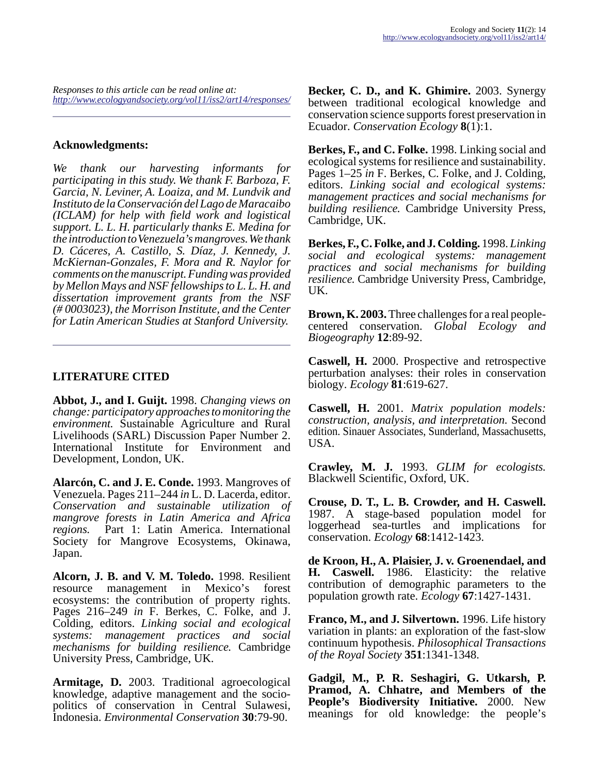*Responses to this article can be read online at: <http://www.ecologyandsociety.org/vol11/iss2/art14/responses/>*

### **Acknowledgments:**

*We thank our harvesting informants for participating in this study. We thank F. Barboza, F. Garcia, N. Leviner, A. Loaiza, and M. Lundvik and Instituto de la Conservación del Lago de Maracaibo (ICLAM) for help with field work and logistical support. L. L. H. particularly thanks E. Medina for the introduction to Venezuela's mangroves. We thank D. Cáceres, A. Castillo, S. Díaz, J. Kennedy, J. McKiernan-Gonzales, F. Mora and R. Naylor for comments on the manuscript. Funding was provided by Mellon Mays and NSF fellowships to L. L. H. and dissertation improvement grants from the NSF (# 0003023), the Morrison Institute, and the Center for Latin American Studies at Stanford University.*

## **LITERATURE CITED**

**Abbot, J., and I. Guijt.** 1998. *Changing views on change: participatory approaches to monitoring the environment.* Sustainable Agriculture and Rural Livelihoods (SARL) Discussion Paper Number 2. International Institute for Environment and Development, London, UK.

**Alarcón, C. and J. E. Conde.** 1993. Mangroves of Venezuela. Pages 211–244 *in* L. D. Lacerda, editor. *Conservation and sustainable utilization of mangrove forests in Latin America and Africa regions.* Part 1: Latin America. International Society for Mangrove Ecosystems, Okinawa, Japan.

**Alcorn, J. B. and V. M. Toledo.** 1998. Resilient resource management in Mexico's forest ecosystems: the contribution of property rights. Pages 216–249 *in* F. Berkes, C. Folke, and J. Colding, editors. *Linking social and ecological systems: management practices and social mechanisms for building resilience.* Cambridge University Press, Cambridge, UK.

**Armitage, D.** 2003. Traditional agroecological knowledge, adaptive management and the sociopolitics of conservation in Central Sulawesi, Indonesia. *Environmental Conservation* **30**:79-90.

**Becker, C. D., and K. Ghimire.** 2003. Synergy between traditional ecological knowledge and conservation science supports forest preservation in Ecuador. *Conservation Ecology* **8**(1):1.

**Berkes, F., and C. Folke.** 1998. Linking social and ecological systems for resilience and sustainability. Pages 1–25 *in* F. Berkes, C. Folke, and J. Colding, editors. *Linking social and ecological systems: management practices and social mechanisms for building resilience.* Cambridge University Press, Cambridge, UK.

**Berkes, F., C. Folke, and J. Colding.** 1998. *Linking social and ecological systems: management practices and social mechanisms for building resilience.* Cambridge University Press, Cambridge, UK.

**Brown, K. 2003.** Three challenges for a real peoplecentered conservation. *Global Ecology and Biogeography* **12**:89-92.

**Caswell, H.** 2000. Prospective and retrospective perturbation analyses: their roles in conservation biology. *Ecology* **81**:619-627.

**Caswell, H.** 2001. *Matrix population models: construction, analysis, and interpretation.* Second edition. Sinauer Associates, Sunderland, Massachusetts, USA.

**Crawley, M. J.** 1993. *GLIM for ecologists.* Blackwell Scientific, Oxford, UK.

**Crouse, D. T., L. B. Crowder, and H. Caswell.** 1987. A stage-based population model for loggerhead sea-turtles and implications for conservation. *Ecology* **68**:1412-1423.

**de Kroon, H., A. Plaisier, J. v. Groenendael, and H. Caswell.** 1986. Elasticity: the relative contribution of demographic parameters to the population growth rate. *Ecology* **67**:1427-1431.

**Franco, M., and J. Silvertown.** 1996. Life history variation in plants: an exploration of the fast-slow continuum hypothesis. *Philosophical Transactions of the Royal Society* **351**:1341-1348.

**Gadgil, M., P. R. Seshagiri, G. Utkarsh, P. Pramod, A. Chhatre, and Members of the People's Biodiversity Initiative.** 2000. New meanings for old knowledge: the people's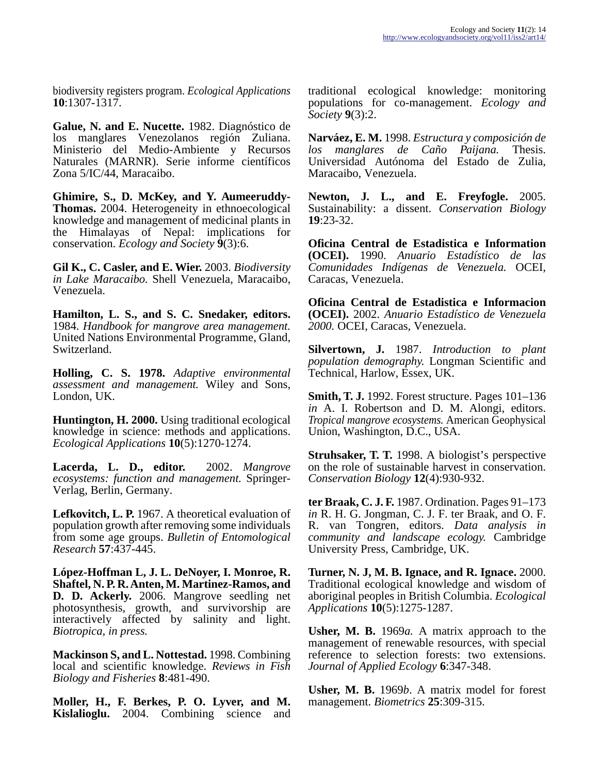biodiversity registers program. *Ecological Applications* **10**:1307-1317.

**Galue, N. and E. Nucette.** 1982. Diagnóstico de los manglares Venezolanos región Zuliana. Ministerio del Medio-Ambiente y Recursos Naturales (MARNR). Serie informe científicos Zona 5/IC/44, Maracaibo.

**Ghimire, S., D. McKey, and Y. Aumeeruddy-Thomas.** 2004. Heterogeneity in ethnoecological knowledge and management of medicinal plants in the Himalayas of Nepal: implications for conservation. *Ecology and Society* **9**(3):6.

**Gil K., C. Casler, and E. Wier.** 2003. *Biodiversity in Lake Maracaibo.* Shell Venezuela, Maracaibo, Venezuela.

**Hamilton, L. S., and S. C. Snedaker, editors.** 1984. *Handbook for mangrove area management.* United Nations Environmental Programme, Gland, Switzerland.

**Holling, C. S. 1978.** *Adaptive environmental assessment and management.* Wiley and Sons, London, UK.

**Huntington, H. 2000.** Using traditional ecological knowledge in science: methods and applications. *Ecological Applications* **10**(5):1270-1274.

**Lacerda, L. D., editor.** 2002. *Mangrove ecosystems: function and management.* Springer-Verlag, Berlin, Germany.

**Lefkovitch, L. P.** 1967. A theoretical evaluation of population growth after removing some individuals from some age groups. *Bulletin of Entomological Research* **57**:437-445.

**López-Hoffman L, J. L. DeNoyer, I. Monroe, R. Shaftel, N. P. R. Anten, M. Martinez-Ramos, and D. D. Ackerly.** 2006. Mangrove seedling net photosynthesis, growth, and survivorship are interactively affected by salinity and light. *Biotropica, in press.*

**Mackinson S, and L. Nottestad.** 1998. Combining local and scientific knowledge. *Reviews in Fish Biology and Fisheries* **8**:481-490.

**Moller, H., F. Berkes, P. O. Lyver, and M. Kislalioglu.** 2004. Combining science and traditional ecological knowledge: monitoring populations for co-management. *Ecology and Society* **9**(3):2.

**Narváez, E. M.** 1998. *Estructura y composición de los manglares de Caño Paijana.* Thesis. Universidad Autónoma del Estado de Zulia, Maracaibo, Venezuela.

**Newton, J. L., and E. Freyfogle.** 2005. Sustainability: a dissent. *Conservation Biology* **19**:23-32.

**Oficina Central de Estadistica e Information (OCEI).** 1990. *Anuario Estadístico de las Comunidades Indígenas de Venezuela.* OCEI, Caracas, Venezuela.

**Oficina Central de Estadistica e Informacion (OCEI).** 2002. *Anuario Estadístico de Venezuela 2000.* OCEI, Caracas, Venezuela.

**Silvertown, J.** 1987. *Introduction to plant population demography.* Longman Scientific and Technical, Harlow, Essex, UK.

**Smith, T. J.** 1992. Forest structure. Pages 101–136 *in* A. I. Robertson and D. M. Alongi, editors. *Tropical mangrove ecosystems.* American Geophysical Union, Washington, D.C., USA.

**Struhsaker, T. T.** 1998. A biologist's perspective on the role of sustainable harvest in conservation. *Conservation Biology* **12**(4):930-932.

**ter Braak, C. J. F.** 1987. Ordination. Pages 91–173 *in* R. H. G. Jongman, C. J. F. ter Braak, and O. F. R. van Tongren, editors. *Data analysis in community and landscape ecology.* Cambridge University Press, Cambridge, UK.

**Turner, N. J, M. B. Ignace, and R. Ignace.** 2000. Traditional ecological knowledge and wisdom of aboriginal peoples in British Columbia. *Ecological Applications* **10**(5):1275-1287.

**Usher, M. B.** 1969*a.* A matrix approach to the management of renewable resources, with special reference to selection forests: two extensions. *Journal of Applied Ecology* **6**:347-348.

**Usher, M. B.** 1969*b*. A matrix model for forest management. *Biometrics* **25**:309-315.